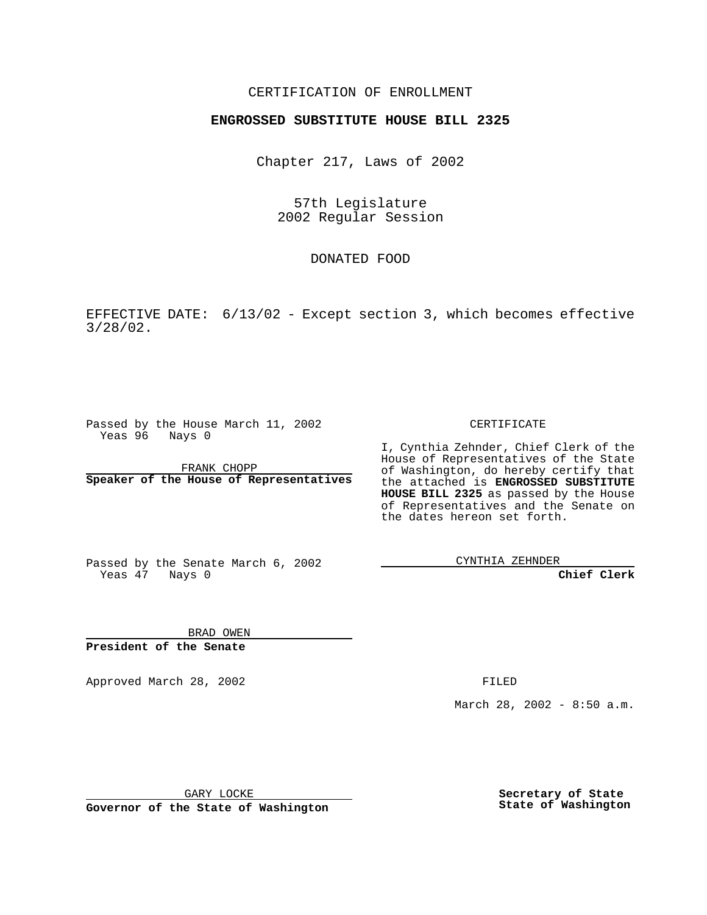## CERTIFICATION OF ENROLLMENT

## **ENGROSSED SUBSTITUTE HOUSE BILL 2325**

Chapter 217, Laws of 2002

57th Legislature 2002 Regular Session

DONATED FOOD

EFFECTIVE DATE: 6/13/02 - Except section 3, which becomes effective 3/28/02.

Passed by the House March 11, 2002 Yeas 96 Nays 0

FRANK CHOPP **Speaker of the House of Representatives** CERTIFICATE

I, Cynthia Zehnder, Chief Clerk of the House of Representatives of the State of Washington, do hereby certify that the attached is **ENGROSSED SUBSTITUTE HOUSE BILL 2325** as passed by the House of Representatives and the Senate on the dates hereon set forth.

Passed by the Senate March 6, 2002 Yeas 47 Nays 0

CYNTHIA ZEHNDER

**Chief Clerk**

BRAD OWEN **President of the Senate**

Approved March 28, 2002 **FILED** 

March 28, 2002 - 8:50 a.m.

GARY LOCKE

**Governor of the State of Washington**

**Secretary of State State of Washington**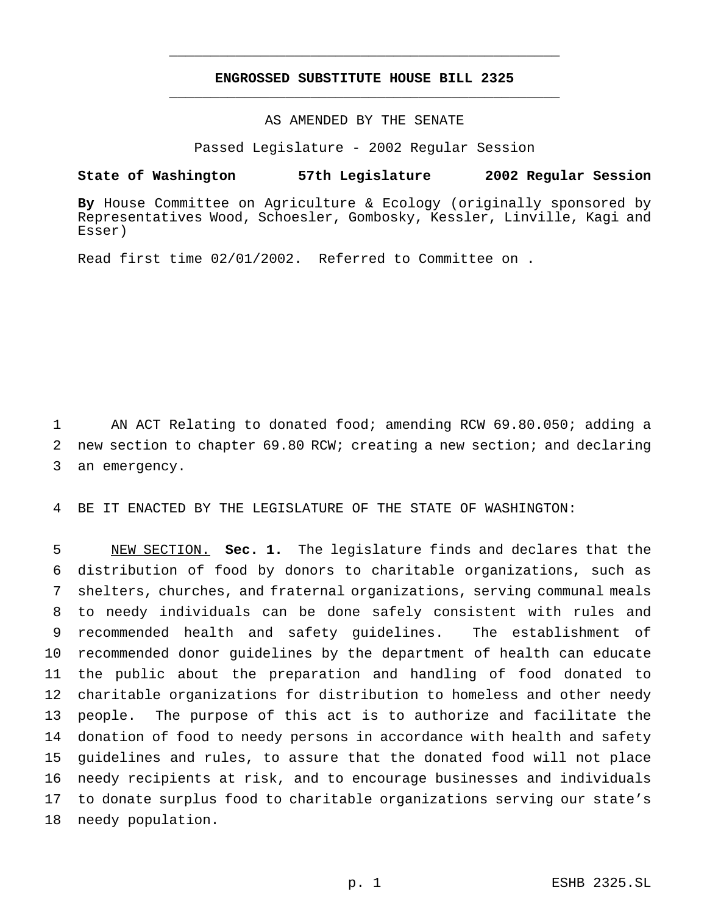## **ENGROSSED SUBSTITUTE HOUSE BILL 2325** \_\_\_\_\_\_\_\_\_\_\_\_\_\_\_\_\_\_\_\_\_\_\_\_\_\_\_\_\_\_\_\_\_\_\_\_\_\_\_\_\_\_\_\_\_\_\_

\_\_\_\_\_\_\_\_\_\_\_\_\_\_\_\_\_\_\_\_\_\_\_\_\_\_\_\_\_\_\_\_\_\_\_\_\_\_\_\_\_\_\_\_\_\_\_

AS AMENDED BY THE SENATE

Passed Legislature - 2002 Regular Session

## **State of Washington 57th Legislature 2002 Regular Session**

**By** House Committee on Agriculture & Ecology (originally sponsored by Representatives Wood, Schoesler, Gombosky, Kessler, Linville, Kagi and Esser)

Read first time 02/01/2002. Referred to Committee on .

 AN ACT Relating to donated food; amending RCW 69.80.050; adding a new section to chapter 69.80 RCW; creating a new section; and declaring an emergency.

BE IT ENACTED BY THE LEGISLATURE OF THE STATE OF WASHINGTON:

 NEW SECTION. **Sec. 1.** The legislature finds and declares that the distribution of food by donors to charitable organizations, such as shelters, churches, and fraternal organizations, serving communal meals to needy individuals can be done safely consistent with rules and recommended health and safety guidelines. The establishment of recommended donor guidelines by the department of health can educate the public about the preparation and handling of food donated to charitable organizations for distribution to homeless and other needy people. The purpose of this act is to authorize and facilitate the donation of food to needy persons in accordance with health and safety guidelines and rules, to assure that the donated food will not place needy recipients at risk, and to encourage businesses and individuals to donate surplus food to charitable organizations serving our state's needy population.